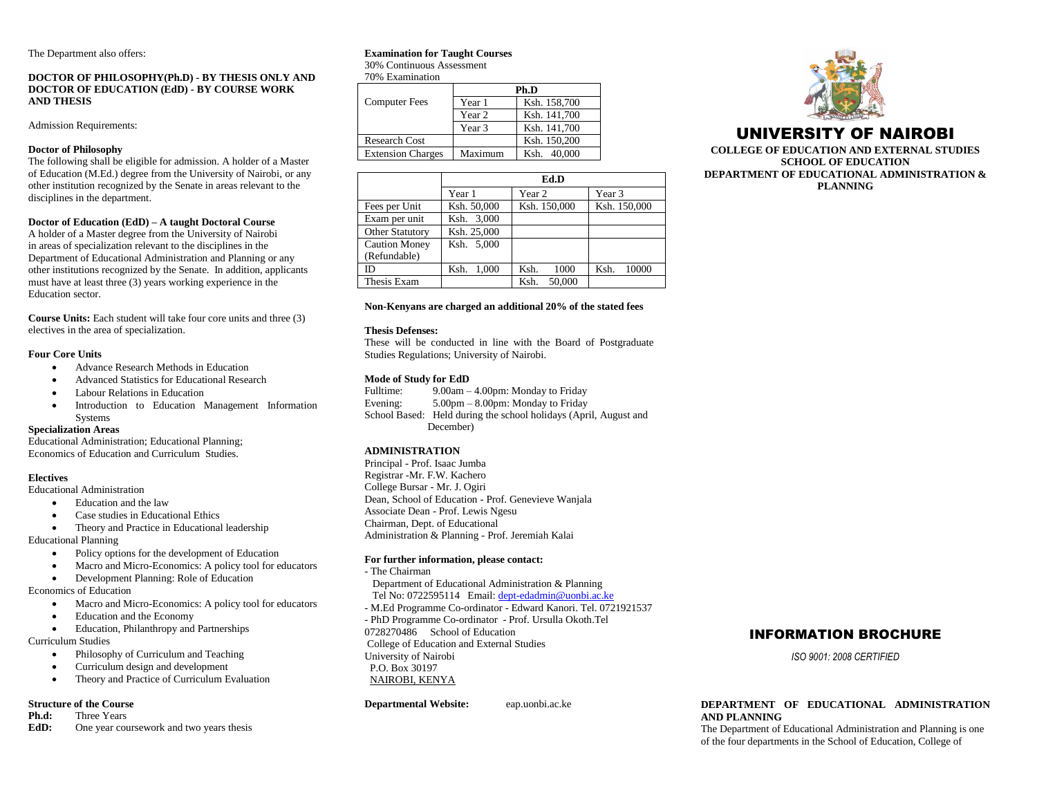The Department also offers:

# **DOCTOR OF PHILOSOPHY(Ph.D) - BY THESIS ONLY AND DOCTOR OF EDUCATION (EdD) - BY COURSE WORK AND THESIS**

Admission Requirements:

# **Doctor of Philosophy**

The following shall be eligible for admission. A holder of a Master of Education (M.Ed.) degree from the University of Nairobi, or any other institution recognized by the Senate in areas relevant to the disciplines in the department.

# **Doctor of Education (EdD) – A taught Doctoral Course**

A holder of a Master degree from the University of Nairobi in areas of specialization relevant to the disciplines in the Department of Educational Administration and Planning or any other institutions recognized by the Senate. In addition, applicants must have at least three (3) years working experience in the Education sector.

**Course Units:** Each student will take four core units and three (3) electives in the area of specialization.

# **Four Core Units**

- Advance Research Methods in Education
- Advanced Statistics for Educational Research
- Labour Relations in Education
- Introduction to Education Management Information Systems

# **Specialization Areas**

Educational Administration; Educational Planning; Economics of Education and Curriculum Studies.

# **Electives**

Educational Administration

- Education and the law
- Case studies in Educational Ethics
- Theory and Practice in Educational leadership

Educational Planning

- Policy options for the development of Education
- Macro and Micro-Economics: A policy tool for educators
- Development Planning: Role of Education

Economics of Education

- Macro and Micro-Economics: A policy tool for educators
- Education and the Economy
- Education, Philanthropy and Partnerships

Curriculum Studies

- Philosophy of Curriculum and Teaching
- Curriculum design and development
- Theory and Practice of Curriculum Evaluation

# **Structure of the Course<br>Ph.d:** Three Years

- **Phree Years**
- **EdD:** One year coursework and two years thesis

# **Examination for Taught Courses**

30% Continuous Assessment 70% Examination

|                          | Ph.D    |              |  |
|--------------------------|---------|--------------|--|
| <b>Computer Fees</b>     | Year 1  | Ksh. 158,700 |  |
|                          | Year 2  | Ksh. 141,700 |  |
|                          | Year 3  | Ksh. 141,700 |  |
| <b>Research Cost</b>     |         | Ksh. 150,200 |  |
| <b>Extension Charges</b> | Maximum | Ksh. 40,000  |  |

|                                      | Ed.D          |                |               |
|--------------------------------------|---------------|----------------|---------------|
|                                      | Year 1        | Year 2         | Year 3        |
| Fees per Unit                        | Ksh. 50,000   | Ksh. 150,000   | Ksh. 150,000  |
| Exam per unit                        | Ksh. 3,000    |                |               |
| <b>Other Statutory</b>               | Ksh. 25,000   |                |               |
| <b>Caution Money</b><br>(Refundable) | Ksh. 5.000    |                |               |
| ID                                   | Ksh.<br>1.000 | Ksh.<br>1000   | Ksh.<br>10000 |
| Thesis Exam                          |               | 50,000<br>Ksh. |               |

# **Non-Kenyans are charged an additional 20% of the stated fees**

#### **Thesis Defenses:**

These will be conducted in line with the Board of Postgraduate Studies Regulations; University of Nairobi.

# **Mode of Study for EdD**

Fulltime: 9.00am – 4.00pm: Monday to Friday Evening: 5.00pm – 8.00pm: Monday to Friday School Based: Held during the school holidays (April, August and December)

# **ADMINISTRATION**

Principal - Prof. Isaac Jumba Registrar -Mr. F.W. Kachero College Bursar - Mr. J. Ogiri Dean, School of Education - Prof. Genevieve Wanjala Associate Dean - Prof. Lewis Ngesu Chairman, Dept. of Educational Administration & Planning - Prof. Jeremiah Kalai

# **For further information, please contact:**

- The Chairman
	- Department of Educational Administration & Planning
- Tel No: 0722595114 Email[: dept-edadmin@uonbi.ac.ke](mailto:dept-edadmin@uonbi.ac.ke) - M.Ed Programme Co-ordinator - Edward Kanori. Tel. 0721921537
- PhD Programme Co-ordinator Prof. Ursulla Okoth.Tel
- 0728270486 School of Education
- College of Education and External Studies University of Nairobi
- P.O. Box 30197 NAIROBI, KENYA

**Departmental Website:** eap.uonbi.ac.ke



# UNIVERSITY OF NAIROBI

**COLLEGE OF EDUCATION AND EXTERNAL STUDIES SCHOOL OF EDUCATION DEPARTMENT OF EDUCATIONAL ADMINISTRATION & PLANNING**

# INFORMATION BROCHURE

*ISO 9001: 2008 CERTIFIED*

# **DEPARTMENT OF EDUCATIONAL ADMINISTRATION AND PLANNING**

The Department of Educational Administration and Planning is one of the four departments in the School of Education, College of